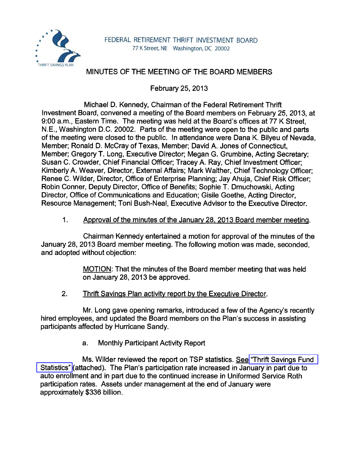

## MINUTES OF THE MEETING OF THE BOARD MEMBERS

February 25, 2013

Michael D. Kennedy, Chairman of the Federal Retirement Thrift Investment Board, convened a meeting of the Board members on February 25, 2013, at 9:00 a.m., Eastern Time. The meeting was held at the Board's offices at 77 K Street. N.E., Washington D.C. 20002. Parts of the meeting were open to the public and parts of the meeting were closed to the public. In attendance were Dana K. Bilyeu of Nevada, Member; Ronald D. McCray of Texas, Member; David A. Jones of Connecticut, Member; Gregory T. Long, Executive Director; Megan G. Grumbine, Acting Secretary; Susan C. Crowder, Chief Financial Officer; Tracey A. Ray, Chief Investment Officer; Kimberly A. Weaver, Director, External Affairs; Mark Walther, Chief Technology Officer; Renee C. Wilder, Director, Office of Enterprise Planning; Jay Ahuja, Chief Risk Officer; Robin Conner, Deputy Director, Office of Benefits; Sophie T. Dmuchowski, Acting Director, Office of Communications and Education; Gisile Goethe, Acting Director, Resource Management; Toni Bush-Neal, Executive Advisor to the Executive Director.

## 1. Approval of the minutes of the January 28. 2013 Board member meeting.

Chairman Kennedy entertained a motion for approval of the minutes of the January 28, 2013 Board member meeting. The following motion was made, seconded, and adopted without objection:

> MOTION: That the minutes of the Board member meeting that was held on January 28, 2013 be approved.

2. Thrift Savings Plan activity report by the Executive Director.

Mr. Long gave opening remarks, introduced a few of the Agency's recently hired employees, and updated the Board members on the Plan's success in assisting participants affected by Hurricane Sandy.

a. Monthly Participant Activity Report

Ms. Wilder reviewed the report on TSP statistics. See ["Thrift Savings Fund](http://www.frtib.gov/pdf/minutes/MM-2013Feb-Att1.pdf)  [Statistics"](http://www.frtib.gov/pdf/minutes/MM-2013Feb-Att1.pdf) {attached). The Plan's participation rate increased in January in part due to auto enrollment and in part due to the continued increase in Uniformed Service Roth participation rates. Assets under management at the end of January were approximately \$336 billion.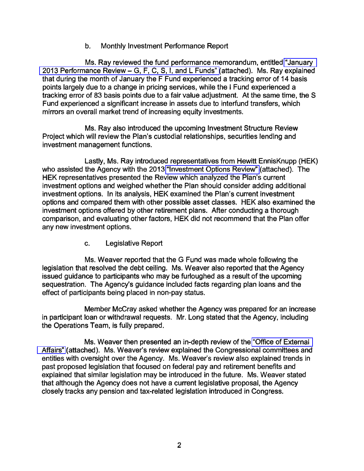## b. Monthly Investment Performance Report

Ms. Ray reviewed the fund performance memorandum, entitled ["January](http://www.frtib.gov/pdf/minutes/MM-2013Feb-Att2.pdf)  [2013 Performance Review-](http://www.frtib.gov/pdf/minutes/MM-2013Feb-Att2.pdf) G, F, C, S, I, and L Funds" (attached). Ms. Ray explained that during the month of January the F Fund experienced a tracking error of 14 basis points largely due to a change in pricing services, while the I Fund experienced a tracking error of 83 basis points due to a fair value adjustment. At the same time, the S Fund experienced a significant increase in assets due to interfund transfers, which mirrors an overall market trend of increasing equity investments.

Ms. Ray also introduced the upcoming Investment Structure Review Project which will review the Plan's custodial relationships, securities lending and investment management functions.

Lastly, Ms. Ray introduced representatives from Hewitt EnnisKnupp (HEK) who assisted the Agency with the 2013 ["Investment Options Review"](http://www.frtib.gov/pdf/minutes/MM-2013Feb-Att3.pdf) (attached). The HEK representatives presented the Review which analyzed the Plan's current investment options and weighed whether the Plan should consider adding additional investment options. In its analysis, HEK examined the Plan's current investment options and compared them with other possible asset classes. HEK also examined the investment options offered by other retirement plans. After conducting a thorough comparison, and evaluating other factors, HEK did not recommend that the Plan offer any new investment options.

c. Legislative Report

Ms. Weaver reported that the G Fund was made whole following the legislation that resolved the debt ceiling. Ms. Weaver also reported that the Agency issued guidance to participants who may be furloughed as a result of the upcoming sequestration. The Agency's guidance included facts regarding plan loans and the effect of participants being placed in non-pay status.

Member McCray asked whether the Agency was prepared for an increase in participant loan or withdrawal requests. Mr. Long stated that the Agency, including the Operations Team, is fully prepared.

Ms. Weaver then presented an in-depth review of the ["Office of External](http://www.frtib.gov/pdf/minutes/MM-2013Feb-Att4.pdf)  [Affairs"](http://www.frtib.gov/pdf/minutes/MM-2013Feb-Att4.pdf) (attached). Ms. Weaver's review explained the Congressional committees and entities with oversight over the Agency. Ms. Weaver's review also explained trends in past proposed legislation that focused on federal pay and retirement benefits and explained that similar legislation may be introduced in the future. Ms. Weaver stated that although the Agency does not have a current legislative proposal, the Agency closely tracks any pension and tax-related legislation introduced in Congress.